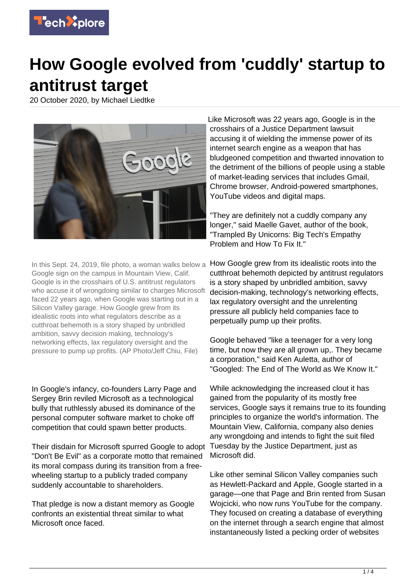

## **How Google evolved from 'cuddly' startup to antitrust target**

20 October 2020, by Michael Liedtke



Google sign on the campus in Mountain View, Calif. Google is in the crosshairs of U.S. antitrust regulators who accuse it of wrongdoing similar to charges Microsoft faced 22 years ago, when Google was starting out in a Silicon Valley garage. How Google grew from its idealistic roots into what regulators describe as a cutthroat behemoth is a story shaped by unbridled ambition, savvy decision making, technology's networking effects, lax regulatory oversight and the pressure to pump up profits. (AP Photo/Jeff Chiu, File)

In Google's infancy, co-founders Larry Page and Sergey Brin reviled Microsoft as a technological bully that ruthlessly abused its dominance of the personal computer software market to choke off competition that could spawn better products.

Their disdain for Microsoft spurred Google to adopt "Don't Be Evil" as a corporate motto that remained its moral compass during its transition from a freewheeling startup to a publicly traded company suddenly accountable to shareholders.

That pledge is now a distant memory as Google confronts an existential threat similar to what Microsoft once faced.

Like Microsoft was 22 years ago, Google is in the crosshairs of a Justice Department lawsuit accusing it of wielding the immense power of its internet search engine as a weapon that has bludgeoned competition and thwarted innovation to the detriment of the billions of people using a stable of market-leading services that includes Gmail, Chrome browser, Android-powered smartphones, YouTube videos and digital maps.

"They are definitely not a cuddly company any longer," said Maelle Gavet, author of the book, "Trampled By Unicorns: Big Tech's Empathy Problem and How To Fix It."

In this Sept. 24, 2019, file photo, a woman walks below a How Google grew from its idealistic roots into the cutthroat behemoth depicted by antitrust regulators is a story shaped by unbridled ambition, savvy decision-making, technology's networking effects, lax regulatory oversight and the unrelenting pressure all publicly held companies face to perpetually pump up their profits.

> Google behaved "like a teenager for a very long time, but now they are all grown up,. They became a corporation," said Ken Auletta, author of "Googled: The End of The World as We Know It."

While acknowledging the increased clout it has gained from the popularity of its mostly free services, Google says it remains true to its founding principles to organize the world's information. The Mountain View, California, company also denies any wrongdoing and intends to fight the suit filed Tuesday by the Justice Department, just as Microsoft did.

Like other seminal Silicon Valley companies such as Hewlett-Packard and Apple, Google started in a garage—one that Page and Brin rented from Susan Wojcicki, who now runs YouTube for the company. They focused on creating a database of everything on the internet through a search engine that almost instantaneously listed a pecking order of websites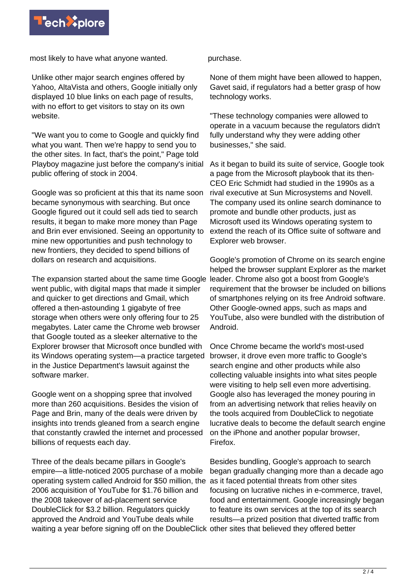

most likely to have what anyone wanted.

Unlike other major search engines offered by Yahoo, AltaVista and others, Google initially only displayed 10 blue links on each page of results, with no effort to get visitors to stay on its own website.

"We want you to come to Google and quickly find what you want. Then we're happy to send you to the other sites. In fact, that's the point," Page told Playboy magazine just before the company's initial public offering of stock in 2004.

Google was so proficient at this that its name soon became synonymous with searching. But once Google figured out it could sell ads tied to search results, it began to make more money than Page and Brin ever envisioned. Seeing an opportunity to mine new opportunities and push technology to new frontiers, they decided to spend billions of dollars on research and acquisitions.

The expansion started about the same time Google went public, with digital maps that made it simpler and quicker to get directions and Gmail, which offered a then-astounding 1 gigabyte of free storage when others were only offering four to 25 megabytes. Later came the Chrome web browser that Google touted as a sleeker alternative to the Explorer browser that Microsoft once bundled with its Windows operating system—a practice targeted in the Justice Department's lawsuit against the software marker.

Google went on a shopping spree that involved more than 260 acquisitions. Besides the vision of Page and Brin, many of the deals were driven by insights into trends gleaned from a search engine that constantly crawled the internet and processed billions of requests each day.

Three of the deals became pillars in Google's empire—a little-noticed 2005 purchase of a mobile operating system called Android for \$50 million, the as it faced potential threats from other sites 2006 acquisition of YouTube for \$1.76 billion and the 2008 takeover of ad-placement service DoubleClick for \$3.2 billion. Regulators quickly approved the Android and YouTube deals while waiting a year before signing off on the DoubleClick other sites that believed they offered better

purchase.

None of them might have been allowed to happen, Gavet said, if regulators had a better grasp of how technology works.

"These technology companies were allowed to operate in a vacuum because the regulators didn't fully understand why they were adding other businesses," she said.

As it began to build its suite of service, Google took a page from the Microsoft playbook that its then-CEO Eric Schmidt had studied in the 1990s as a rival executive at Sun Microsystems and Novell. The company used its online search dominance to promote and bundle other products, just as Microsoft used its Windows operating system to extend the reach of its Office suite of software and Explorer web browser.

Google's promotion of Chrome on its search engine helped the browser supplant Explorer as the market leader. Chrome also got a boost from Google's requirement that the browser be included on billions of smartphones relying on its free Android software. Other Google-owned apps, such as maps and YouTube, also were bundled with the distribution of Android.

Once Chrome became the world's most-used browser, it drove even more traffic to Google's search engine and other products while also collecting valuable insights into what sites people were visiting to help sell even more advertising. Google also has leveraged the money pouring in from an advertising network that relies heavily on the tools acquired from DoubleClick to negotiate lucrative deals to become the default search engine on the iPhone and another popular browser, Firefox.

Besides bundling, Google's approach to search began gradually changing more than a decade ago focusing on lucrative niches in e-commerce, travel, food and entertainment. Google increasingly began to feature its own services at the top of its search results—a prized position that diverted traffic from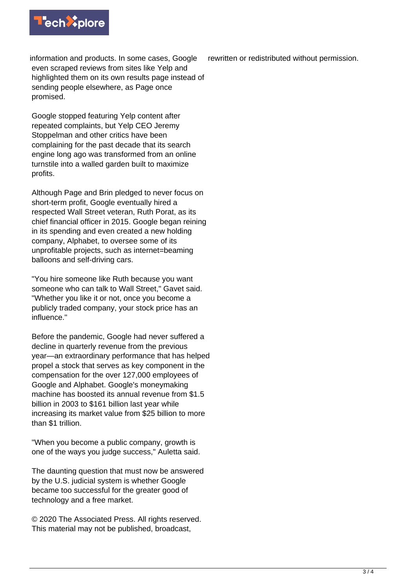

information and products. In some cases, Google even scraped reviews from sites like Yelp and highlighted them on its own results page instead of sending people elsewhere, as Page once promised.

Google stopped featuring Yelp content after repeated complaints, but Yelp CEO Jeremy Stoppelman and other critics have been complaining for the past decade that its search engine long ago was transformed from an online turnstile into a walled garden built to maximize profits.

Although Page and Brin pledged to never focus on short-term profit, Google eventually hired a respected Wall Street veteran, Ruth Porat, as its chief financial officer in 2015. Google began reining in its spending and even created a new holding company, Alphabet, to oversee some of its unprofitable projects, such as internet=beaming balloons and self-driving cars.

"You hire someone like Ruth because you want someone who can talk to Wall Street," Gavet said. "Whether you like it or not, once you become a publicly traded company, your stock price has an influence."

Before the pandemic, Google had never suffered a decline in quarterly revenue from the previous year—an extraordinary performance that has helped propel a stock that serves as key component in the compensation for the over 127,000 employees of Google and Alphabet. Google's moneymaking machine has boosted its annual revenue from \$1.5 billion in 2003 to \$161 billion last year while increasing its market value from \$25 billion to more than \$1 trillion.

"When you become a public company, growth is one of the ways you judge success," Auletta said.

The daunting question that must now be answered by the U.S. judicial system is whether Google became too successful for the greater good of technology and a free market.

© 2020 The Associated Press. All rights reserved. This material may not be published, broadcast,

rewritten or redistributed without permission.